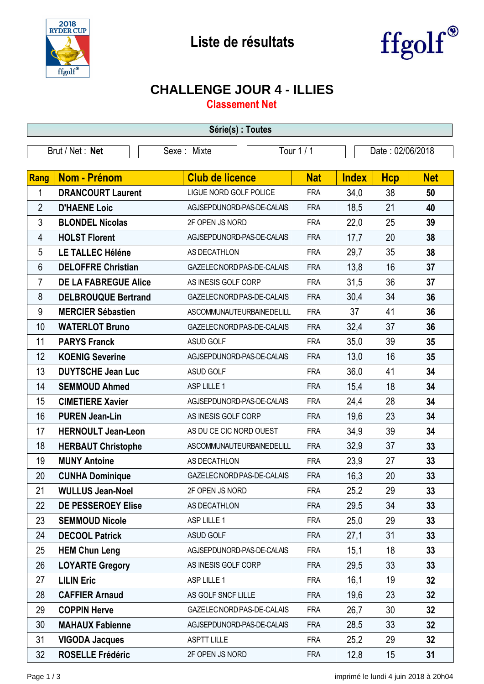



## **CHALLENGE JOUR 4 - ILLIES**

**Classement Net**

| Série(s) : Toutes |                             |                               |            |                  |            |            |  |
|-------------------|-----------------------------|-------------------------------|------------|------------------|------------|------------|--|
| Brut / Net: Net   |                             | Sexe: Mixte                   | Tour 1 / 1 | Date: 02/06/2018 |            |            |  |
|                   |                             |                               |            |                  |            |            |  |
| Rang              | Nom - Prénom                | <b>Club de licence</b>        | <b>Nat</b> | <b>Index</b>     | <b>Hcp</b> | <b>Net</b> |  |
| 1                 | <b>DRANCOURT Laurent</b>    | <b>LIGUE NORD GOLF POLICE</b> | <b>FRA</b> | 34,0             | 38         | 50         |  |
| $\overline{2}$    | <b>D'HAENE Loic</b>         | AGJSEPDUNORD-PAS-DE-CALAIS    | <b>FRA</b> | 18,5             | 21         | 40         |  |
| 3                 | <b>BLONDEL Nicolas</b>      | 2F OPEN JS NORD               | <b>FRA</b> | 22,0             | 25         | 39         |  |
| 4                 | <b>HOLST Florent</b>        | AGJSEPDUNORD-PAS-DE-CALAIS    | <b>FRA</b> | 17,7             | 20         | 38         |  |
| 5                 | LE TALLEC Héléne            | AS DECATHLON                  | <b>FRA</b> | 29,7             | 35         | 38         |  |
| 6                 | <b>DELOFFRE Christian</b>   | GAZELEC NORD PAS-DE-CALAIS    | <b>FRA</b> | 13,8             | 16         | 37         |  |
| 7                 | <b>DE LA FABREGUE Alice</b> | AS INESIS GOLF CORP           | <b>FRA</b> | 31,5             | 36         | 37         |  |
| 8                 | <b>DELBROUQUE Bertrand</b>  | GAZELEC NORD PAS-DE-CALAIS    | <b>FRA</b> | 30,4             | 34         | 36         |  |
| 9                 | <b>MERCIER Sébastien</b>    | ASCOMMUNAUTEURBAINEDELILL     | <b>FRA</b> | 37               | 41         | 36         |  |
| 10                | <b>WATERLOT Bruno</b>       | GAZELEC NORD PAS-DE-CALAIS    | <b>FRA</b> | 32,4             | 37         | 36         |  |
| 11                | <b>PARYS Franck</b>         | ASUD GOLF                     | <b>FRA</b> | 35,0             | 39         | 35         |  |
| 12                | <b>KOENIG Severine</b>      | AGJSEPDUNORD-PAS-DE-CALAIS    | <b>FRA</b> | 13,0             | 16         | 35         |  |
| 13                | <b>DUYTSCHE Jean Luc</b>    | ASUD GOLF                     | <b>FRA</b> | 36,0             | 41         | 34         |  |
| 14                | <b>SEMMOUD Ahmed</b>        | ASP LILLE 1                   | <b>FRA</b> | 15,4             | 18         | 34         |  |
| 15                | <b>CIMETIERE Xavier</b>     | AGJSEPDUNORD-PAS-DE-CALAIS    | <b>FRA</b> | 24,4             | 28         | 34         |  |
| 16                | <b>PUREN Jean-Lin</b>       | AS INESIS GOLF CORP           | <b>FRA</b> | 19,6             | 23         | 34         |  |
| 17                | <b>HERNOULT Jean-Leon</b>   | AS DU CE CIC NORD OUEST       | <b>FRA</b> | 34,9             | 39         | 34         |  |
| 18                | <b>HERBAUT Christophe</b>   | ASCOMMUNAUTEURBAINEDELILL     | <b>FRA</b> | 32,9             | 37         | 33         |  |
| 19                | <b>MUNY Antoine</b>         | AS DECATHLON                  | <b>FRA</b> | 23,9             | 27         | 33         |  |
| 20                | <b>CUNHA Dominique</b>      | GAZELEC NORD PAS-DE-CALAIS    | <b>FRA</b> | 16,3             | 20         | 33         |  |
| 21                | <b>WULLUS Jean-Noel</b>     | 2F OPEN JS NORD               | <b>FRA</b> | 25,2             | 29         | 33         |  |
| 22                | DE PESSEROEY Elise          | AS DECATHLON                  | <b>FRA</b> | 29,5             | 34         | 33         |  |
| 23                | <b>SEMMOUD Nicole</b>       | ASP LILLE 1                   | <b>FRA</b> | 25,0             | 29         | 33         |  |
| 24                | <b>DECOOL Patrick</b>       | ASUD GOLF                     | <b>FRA</b> | 27,1             | 31         | 33         |  |
| 25                | <b>HEM Chun Leng</b>        | AGJSEPDUNORD-PAS-DE-CALAIS    | <b>FRA</b> | 15,1             | 18         | 33         |  |
| 26                | <b>LOYARTE Gregory</b>      | AS INESIS GOLF CORP           | <b>FRA</b> | 29,5             | 33         | 33         |  |
| 27                | <b>LILIN Eric</b>           | ASP LILLE 1                   | <b>FRA</b> | 16,1             | 19         | 32         |  |
| 28                | <b>CAFFIER Arnaud</b>       | AS GOLF SNCF LILLE            | <b>FRA</b> | 19,6             | 23         | 32         |  |
| 29                | <b>COPPIN Herve</b>         | GAZELEC NORD PAS-DE-CALAIS    | <b>FRA</b> | 26,7             | 30         | 32         |  |
| 30                | <b>MAHAUX Fabienne</b>      | AGJSEPDUNORD-PAS-DE-CALAIS    | <b>FRA</b> | 28,5             | 33         | 32         |  |
| 31                | <b>VIGODA Jacques</b>       | <b>ASPTT LILLE</b>            | <b>FRA</b> | 25,2             | 29         | 32         |  |
| 32                | <b>ROSELLE Frédéric</b>     | 2F OPEN JS NORD               | <b>FRA</b> | 12,8             | 15         | 31         |  |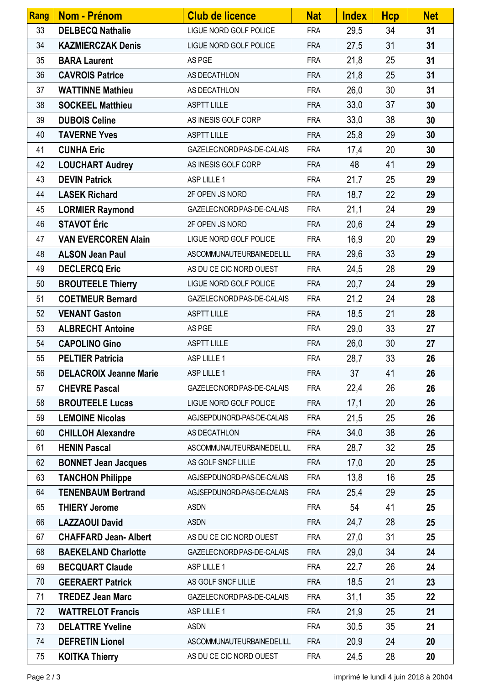| Rang | <b>Nom - Prénom</b>           | <b>Club de licence</b>     | <b>Nat</b> | <b>Index</b> | <b>Hcp</b> | <b>Net</b> |
|------|-------------------------------|----------------------------|------------|--------------|------------|------------|
| 33   | <b>DELBECQ Nathalie</b>       | LIGUE NORD GOLF POLICE     | <b>FRA</b> | 29,5         | 34         | 31         |
| 34   | <b>KAZMIERCZAK Denis</b>      | LIGUE NORD GOLF POLICE     | <b>FRA</b> | 27,5         | 31         | 31         |
| 35   | <b>BARA Laurent</b>           | AS PGE                     | <b>FRA</b> | 21,8         | 25         | 31         |
| 36   | <b>CAVROIS Patrice</b>        | AS DECATHLON               | <b>FRA</b> | 21,8         | 25         | 31         |
| 37   | <b>WATTINNE Mathieu</b>       | AS DECATHLON               | <b>FRA</b> | 26,0         | 30         | 31         |
| 38   | <b>SOCKEEL Matthieu</b>       | <b>ASPTT LILLE</b>         | <b>FRA</b> | 33,0         | 37         | 30         |
| 39   | <b>DUBOIS Celine</b>          | AS INESIS GOLF CORP        | <b>FRA</b> | 33,0         | 38         | 30         |
| 40   | <b>TAVERNE Yves</b>           | <b>ASPTT LILLE</b>         | <b>FRA</b> | 25,8         | 29         | 30         |
| 41   | <b>CUNHA Eric</b>             | GAZELEC NORD PAS-DE-CALAIS | <b>FRA</b> | 17,4         | 20         | 30         |
| 42   | <b>LOUCHART Audrey</b>        | AS INESIS GOLF CORP        | <b>FRA</b> | 48           | 41         | 29         |
| 43   | <b>DEVIN Patrick</b>          | ASP LILLE 1                | <b>FRA</b> | 21,7         | 25         | 29         |
| 44   | <b>LASEK Richard</b>          | 2F OPEN JS NORD            | <b>FRA</b> | 18,7         | 22         | 29         |
| 45   | <b>LORMIER Raymond</b>        | GAZELEC NORD PAS-DE-CALAIS | <b>FRA</b> | 21,1         | 24         | 29         |
| 46   | <b>STAVOT Éric</b>            | 2F OPEN JS NORD            | <b>FRA</b> | 20,6         | 24         | 29         |
| 47   | <b>VAN EVERCOREN Alain</b>    | LIGUE NORD GOLF POLICE     | <b>FRA</b> | 16,9         | 20         | 29         |
| 48   | <b>ALSON Jean Paul</b>        | ASCOMMUNAUTEURBAINEDELILL  | <b>FRA</b> | 29,6         | 33         | 29         |
| 49   | <b>DECLERCQ Eric</b>          | AS DU CE CIC NORD OUEST    | <b>FRA</b> | 24,5         | 28         | 29         |
| 50   | <b>BROUTEELE Thierry</b>      | LIGUE NORD GOLF POLICE     | <b>FRA</b> | 20,7         | 24         | 29         |
| 51   | <b>COETMEUR Bernard</b>       | GAZELEC NORD PAS-DE-CALAIS | <b>FRA</b> | 21,2         | 24         | 28         |
| 52   | <b>VENANT Gaston</b>          | <b>ASPTT LILLE</b>         | <b>FRA</b> | 18,5         | 21         | 28         |
| 53   | <b>ALBRECHT Antoine</b>       | AS PGE                     | <b>FRA</b> | 29,0         | 33         | 27         |
| 54   | <b>CAPOLINO Gino</b>          | <b>ASPTT LILLE</b>         | <b>FRA</b> | 26,0         | 30         | 27         |
| 55   | <b>PELTIER Patricia</b>       | ASP LILLE 1                | <b>FRA</b> | 28,7         | 33         | 26         |
| 56   | <b>DELACROIX Jeanne Marie</b> | ASP LILLE 1                | <b>FRA</b> | 37           | 41         | 26         |
| 57   | <b>CHEVRE Pascal</b>          | GAZELEC NORD PAS-DE-CALAIS | <b>FRA</b> | 22,4         | 26         | 26         |
| 58   | <b>BROUTEELE Lucas</b>        | LIGUE NORD GOLF POLICE     | <b>FRA</b> | 17,1         | 20         | 26         |
| 59   | <b>LEMOINE Nicolas</b>        | AGJSEPDUNORD-PAS-DE-CALAIS | <b>FRA</b> | 21,5         | 25         | 26         |
| 60   | <b>CHILLOH Alexandre</b>      | AS DECATHLON               | <b>FRA</b> | 34,0         | 38         | 26         |
| 61   | <b>HENIN Pascal</b>           | ASCOMMUNAUTEURBAINEDELILL  | <b>FRA</b> | 28,7         | 32         | 25         |
| 62   | <b>BONNET Jean Jacques</b>    | AS GOLF SNCF LILLE         | <b>FRA</b> | 17,0         | 20         | 25         |
| 63   | <b>TANCHON Philippe</b>       | AGJSEPDUNORD-PAS-DE-CALAIS | <b>FRA</b> | 13,8         | 16         | 25         |
| 64   | <b>TENENBAUM Bertrand</b>     | AGJSEPDUNORD-PAS-DE-CALAIS | <b>FRA</b> | 25,4         | 29         | 25         |
| 65   | <b>THIERY Jerome</b>          | <b>ASDN</b>                | <b>FRA</b> | 54           | 41         | 25         |
| 66   | <b>LAZZAOUI David</b>         | <b>ASDN</b>                | <b>FRA</b> | 24,7         | 28         | 25         |
| 67   | <b>CHAFFARD Jean-Albert</b>   | AS DU CE CIC NORD OUEST    | <b>FRA</b> | 27,0         | 31         | 25         |
| 68   | <b>BAEKELAND Charlotte</b>    | GAZELEC NORD PAS-DE-CALAIS | <b>FRA</b> | 29,0         | 34         | 24         |
| 69   | <b>BECQUART Claude</b>        | ASP LILLE 1                | <b>FRA</b> | 22,7         | 26         | 24         |
| 70   | <b>GEERAERT Patrick</b>       | AS GOLF SNCF LILLE         | <b>FRA</b> | 18,5         | 21         | 23         |
| 71   | <b>TREDEZ Jean Marc</b>       | GAZELEC NORD PAS-DE-CALAIS | <b>FRA</b> | 31,1         | 35         | 22         |
| 72   | <b>WATTRELOT Francis</b>      | ASP LILLE 1                | <b>FRA</b> | 21,9         | 25         | 21         |
| 73   | <b>DELATTRE Yveline</b>       | <b>ASDN</b>                | <b>FRA</b> | 30,5         | 35         | 21         |
| 74   | <b>DEFRETIN Lionel</b>        | ASCOMMUNAUTEURBAINEDELILL  | <b>FRA</b> | 20,9         | 24         | 20         |
| 75   | <b>KOITKA Thierry</b>         | AS DU CE CIC NORD OUEST    | <b>FRA</b> | 24,5         | 28         | 20         |